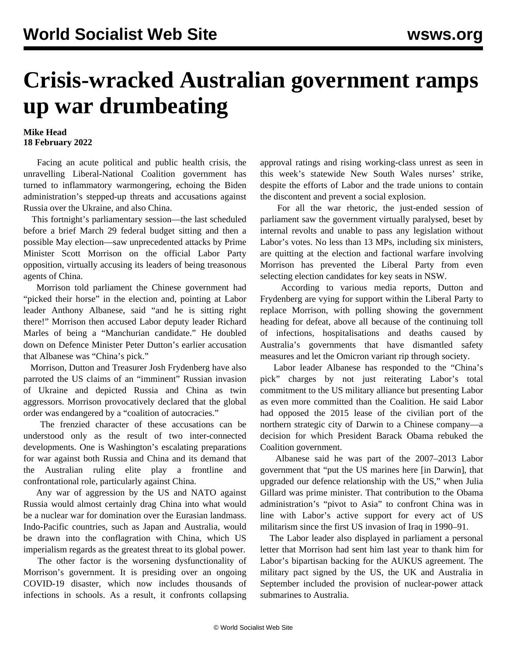## **Crisis-wracked Australian government ramps up war drumbeating**

## **Mike Head 18 February 2022**

 Facing an acute political and public health crisis, the unravelling Liberal-National Coalition government has turned to inflammatory warmongering, echoing the Biden administration's stepped-up threats and accusations against Russia over the Ukraine, and also China.

 This fortnight's parliamentary session—the last scheduled before a brief March 29 federal budget sitting and then a possible May election—saw unprecedented attacks by Prime Minister Scott Morrison on the official Labor Party opposition, virtually accusing its leaders of being treasonous agents of China.

 Morrison told parliament the Chinese government had "picked their horse" in the election and, pointing at Labor leader Anthony Albanese, said "and he is sitting right there!" Morrison then accused Labor deputy leader Richard Marles of being a "Manchurian candidate." He doubled down on Defence Minister Peter Dutton's earlier accusation that Albanese was "China's pick."

 Morrison, Dutton and Treasurer Josh Frydenberg have also parroted the US claims of an "imminent" Russian invasion of Ukraine and depicted Russia and China as twin aggressors. Morrison provocatively declared that the global order was endangered by a "coalition of autocracies."

 The frenzied character of these accusations can be understood only as the result of two inter-connected developments. One is Washington's escalating preparations for war against both Russia and China and its demand that the Australian ruling elite play a frontline and confrontational role, particularly against China.

 Any war of aggression by the US and NATO against Russia would almost certainly drag China into what would be a nuclear war for domination over the Eurasian landmass. Indo-Pacific countries, such as Japan and Australia, would be drawn into the conflagration with China, which US imperialism regards as the greatest threat to its global power.

 The other factor is the worsening dysfunctionality of Morrison's government. It is presiding over an ongoing COVID-19 disaster, which now includes thousands of infections in schools. As a result, it confronts collapsing approval ratings and rising working-class unrest as seen in this week's statewide New South Wales nurses' strike, despite the efforts of Labor and the trade unions to contain the discontent and prevent a social explosion.

 For all the war rhetoric, the just-ended session of parliament saw the government virtually paralysed, beset by internal revolts and unable to pass any legislation without Labor's votes. No less than 13 MPs, including six ministers, are quitting at the election and factional warfare involving Morrison has prevented the Liberal Party from even selecting election candidates for key seats in NSW.

 According to various media reports, Dutton and Frydenberg are vying for support within the Liberal Party to replace Morrison, with polling showing the government heading for defeat, above all because of the continuing toll of infections, hospitalisations and deaths caused by Australia's governments that have dismantled safety measures and let the Omicron variant rip through society.

 Labor leader Albanese has responded to the "China's pick" charges by not just reiterating Labor's total commitment to the US military alliance but presenting Labor as even more committed than the Coalition. He said Labor had opposed the 2015 lease of the civilian port of the northern strategic city of Darwin to a Chinese company—a decision for which President Barack Obama rebuked the Coalition government.

 Albanese said he was part of the 2007–2013 Labor government that "put the US marines here [in Darwin], that upgraded our defence relationship with the US," when Julia Gillard was prime minister. That contribution to the Obama administration's "pivot to Asia" to confront China was in line with Labor's active support for every act of US militarism since the first US invasion of Iraq in 1990–91.

 The Labor leader also displayed in parliament a personal letter that Morrison had sent him last year to thank him for Labor's bipartisan backing for the AUKUS agreement. The military pact signed by the US, the UK and Australia in September included the provision of nuclear-power attack submarines to Australia.